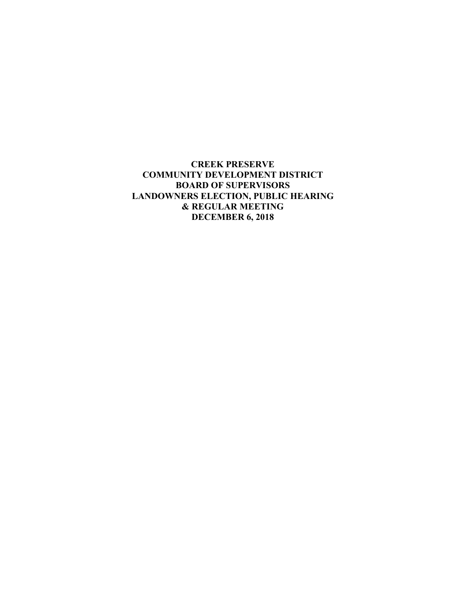**CREEK PRESERVE COMMUNITY DEVELOPMENT DISTRICT BOARD OF SUPERVISORS LANDOWNERS ELECTION, PUBLIC HEARING & REGULAR MEETING DECEMBER 6, 2018**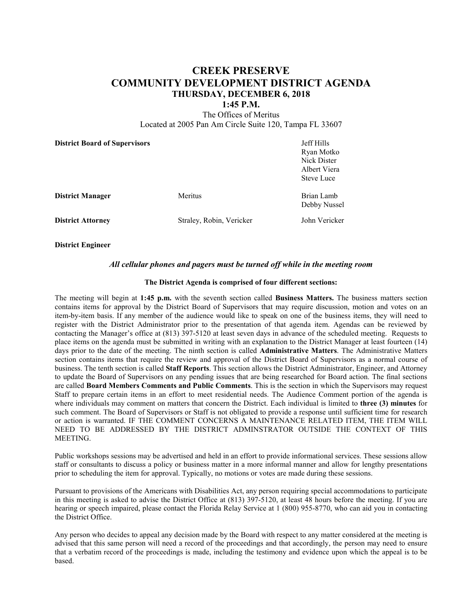# **CREEK PRESERVE COMMUNITY DEVELOPMENT DISTRICT AGENDA THURSDAY, DECEMBER 6, 2018**

#### **1:45 P.M.**

The Offices of Meritus Located at 2005 Pan Am Circle Suite 120, Tampa FL 33607

| <b>District Board of Supervisors</b> |                          | Jeff Hills<br>Ryan Motko<br>Nick Dister<br>Albert Viera<br><b>Steve Luce</b> |
|--------------------------------------|--------------------------|------------------------------------------------------------------------------|
| <b>District Manager</b>              | Meritus                  | Brian Lamb<br>Debby Nussel                                                   |
| <b>District Attorney</b>             | Straley, Robin, Vericker | John Vericker                                                                |

**District Engineer**

### *All cellular phones and pagers must be turned off while in the meeting room*

#### **The District Agenda is comprised of four different sections:**

The meeting will begin at **1:45 p.m.** with the seventh section called **Business Matters.** The business matters section contains items for approval by the District Board of Supervisors that may require discussion, motion and votes on an item-by-item basis. If any member of the audience would like to speak on one of the business items, they will need to register with the District Administrator prior to the presentation of that agenda item. Agendas can be reviewed by contacting the Manager's office at (813) 397-5120 at least seven days in advance of the scheduled meeting. Requests to place items on the agenda must be submitted in writing with an explanation to the District Manager at least fourteen (14) days prior to the date of the meeting. The ninth section is called **Administrative Matters**. The Administrative Matters section contains items that require the review and approval of the District Board of Supervisors as a normal course of business. The tenth section is called **Staff Reports**. This section allows the District Administrator, Engineer, and Attorney to update the Board of Supervisors on any pending issues that are being researched for Board action. The final sections are called **Board Members Comments and Public Comments**. This is the section in which the Supervisors may request Staff to prepare certain items in an effort to meet residential needs. The Audience Comment portion of the agenda is where individuals may comment on matters that concern the District. Each individual is limited to **three (3) minutes** for such comment. The Board of Supervisors or Staff is not obligated to provide a response until sufficient time for research or action is warranted. IF THE COMMENT CONCERNS A MAINTENANCE RELATED ITEM, THE ITEM WILL NEED TO BE ADDRESSED BY THE DISTRICT ADMINSTRATOR OUTSIDE THE CONTEXT OF THIS MEETING.

Public workshops sessions may be advertised and held in an effort to provide informational services. These sessions allow staff or consultants to discuss a policy or business matter in a more informal manner and allow for lengthy presentations prior to scheduling the item for approval. Typically, no motions or votes are made during these sessions.

Pursuant to provisions of the Americans with Disabilities Act, any person requiring special accommodations to participate in this meeting is asked to advise the District Office at (813) 397-5120, at least 48 hours before the meeting. If you are hearing or speech impaired, please contact the Florida Relay Service at 1 (800) 955-8770, who can aid you in contacting the District Office.

Any person who decides to appeal any decision made by the Board with respect to any matter considered at the meeting is advised that this same person will need a record of the proceedings and that accordingly, the person may need to ensure that a verbatim record of the proceedings is made, including the testimony and evidence upon which the appeal is to be based.